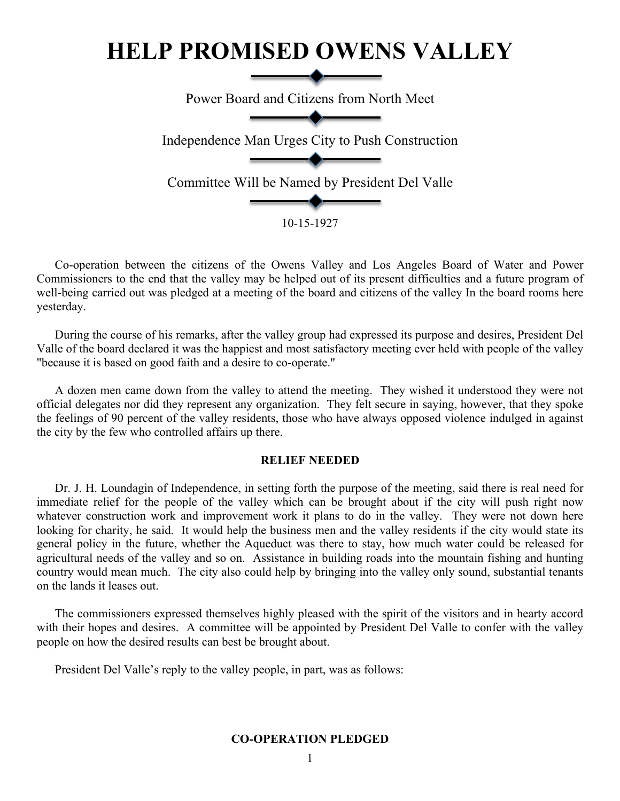# **HELP PROMISED OWENS VALLEY**

Power Board and Citizens from North Meet Independence Man Urges City to Push Construction Committee Will be Named by President Del Valle 10-15-1927

Co-operation between the citizens of the Owens Valley and Los Angeles Board of Water and Power Commissioners to the end that the valley may be helped out of its present difficulties and a future program of well-being carried out was pledged at a meeting of the board and citizens of the valley In the board rooms here yesterday.

During the course of his remarks, after the valley group had expressed its purpose and desires, President Del Valle of the board declared it was the happiest and most satisfactory meeting ever held with people of the valley "because it is based on good faith and a desire to co-operate."

A dozen men came down from the valley to attend the meeting. They wished it understood they were not official delegates nor did they represent any organization. They felt secure in saying, however, that they spoke the feelings of 90 percent of the valley residents, those who have always opposed violence indulged in against the city by the few who controlled affairs up there.

## **RELIEF NEEDED**

Dr. J. H. Loundagin of Independence, in setting forth the purpose of the meeting, said there is real need for immediate relief for the people of the valley which can be brought about if the city will push right now whatever construction work and improvement work it plans to do in the valley. They were not down here looking for charity, he said. It would help the business men and the valley residents if the city would state its general policy in the future, whether the Aqueduct was there to stay, how much water could be released for agricultural needs of the valley and so on. Assistance in building roads into the mountain fishing and hunting country would mean much. The city also could help by bringing into the valley only sound, substantial tenants on the lands it leases out.

The commissioners expressed themselves highly pleased with the spirit of the visitors and in hearty accord with their hopes and desires. A committee will be appointed by President Del Valle to confer with the valley people on how the desired results can best be brought about.

President Del Valle's reply to the valley people, in part, was as follows:

# **CO-OPERATION PLEDGED**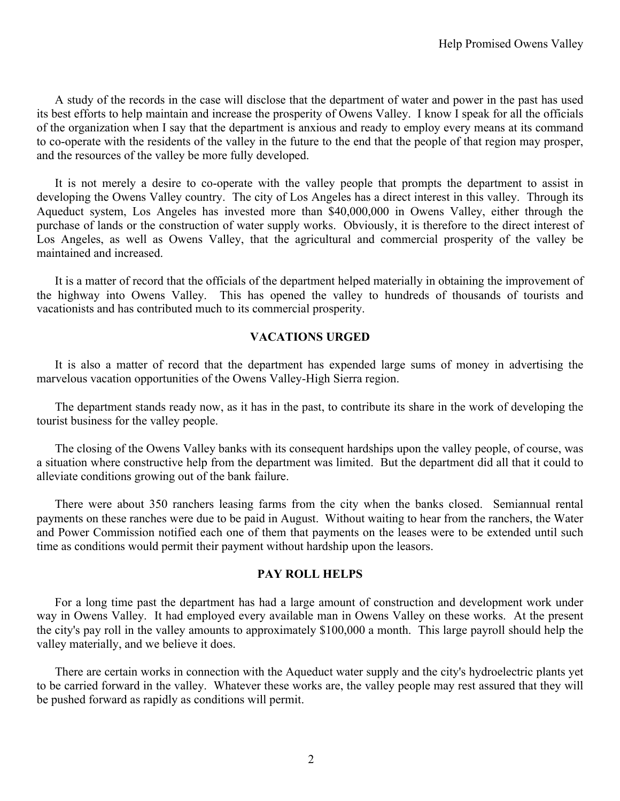A study of the records in the case will disclose that the department of water and power in the past has used its best efforts to help maintain and increase the prosperity of Owens Valley. I know I speak for all the officials of the organization when I say that the department is anxious and ready to employ every means at its command to co-operate with the residents of the valley in the future to the end that the people of that region may prosper, and the resources of the valley be more fully developed.

It is not merely a desire to co-operate with the valley people that prompts the department to assist in developing the Owens Valley country. The city of Los Angeles has a direct interest in this valley. Through its Aqueduct system, Los Angeles has invested more than \$40,000,000 in Owens Valley, either through the purchase of lands or the construction of water supply works. Obviously, it is therefore to the direct interest of Los Angeles, as well as Owens Valley, that the agricultural and commercial prosperity of the valley be maintained and increased.

It is a matter of record that the officials of the department helped materially in obtaining the improvement of the highway into Owens Valley. This has opened the valley to hundreds of thousands of tourists and vacationists and has contributed much to its commercial prosperity.

#### **VACATIONS URGED**

It is also a matter of record that the department has expended large sums of money in advertising the marvelous vacation opportunities of the Owens Valley-High Sierra region.

The department stands ready now, as it has in the past, to contribute its share in the work of developing the tourist business for the valley people.

The closing of the Owens Valley banks with its consequent hardships upon the valley people, of course, was a situation where constructive help from the department was limited. But the department did all that it could to alleviate conditions growing out of the bank failure.

There were about 350 ranchers leasing farms from the city when the banks closed. Semiannual rental payments on these ranches were due to be paid in August. Without waiting to hear from the ranchers, the Water and Power Commission notified each one of them that payments on the leases were to be extended until such time as conditions would permit their payment without hardship upon the leasors.

## **PAY ROLL HELPS**

For a long time past the department has had a large amount of construction and development work under way in Owens Valley. It had employed every available man in Owens Valley on these works. At the present the city's pay roll in the valley amounts to approximately \$100,000 a month. This large payroll should help the valley materially, and we believe it does.

There are certain works in connection with the Aqueduct water supply and the city's hydroelectric plants yet to be carried forward in the valley. Whatever these works are, the valley people may rest assured that they will be pushed forward as rapidly as conditions will permit.